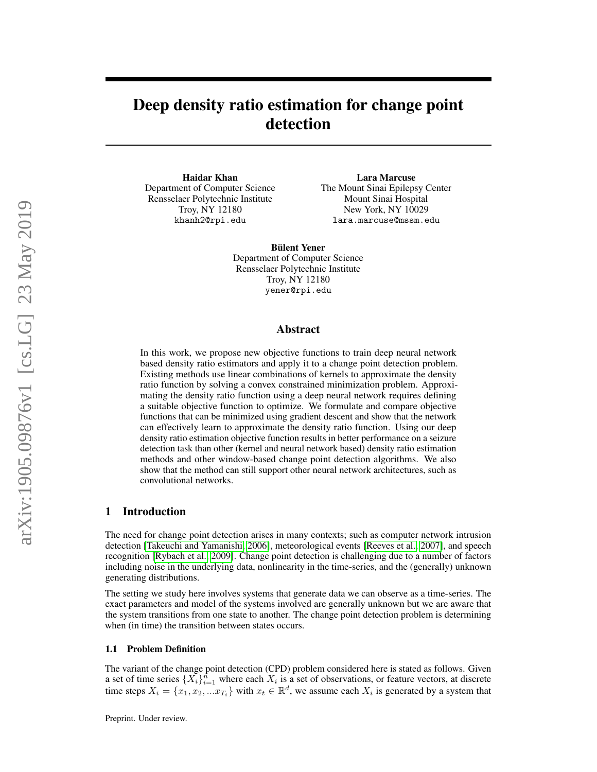# Deep density ratio estimation for change point detection

Haidar Khan Department of Computer Science Rensselaer Polytechnic Institute Troy, NY 12180 khanh2@rpi.edu

Lara Marcuse The Mount Sinai Epilepsy Center Mount Sinai Hospital New York, NY 10029 lara.marcuse@mssm.edu

Bülent Yener Department of Computer Science Rensselaer Polytechnic Institute Troy, NY 12180 yener@rpi.edu

## Abstract

In this work, we propose new objective functions to train deep neural network based density ratio estimators and apply it to a change point detection problem. Existing methods use linear combinations of kernels to approximate the density ratio function by solving a convex constrained minimization problem. Approximating the density ratio function using a deep neural network requires defining a suitable objective function to optimize. We formulate and compare objective functions that can be minimized using gradient descent and show that the network can effectively learn to approximate the density ratio function. Using our deep density ratio estimation objective function results in better performance on a seizure detection task than other (kernel and neural network based) density ratio estimation methods and other window-based change point detection algorithms. We also show that the method can still support other neural network architectures, such as convolutional networks.

# 1 Introduction

The need for change point detection arises in many contexts; such as computer network intrusion detection [\[Takeuchi and Yamanishi, 2006\]](#page-9-0), meteorological events [\[Reeves et al., 2007\]](#page-9-1), and speech recognition [\[Rybach et al., 2009\]](#page-9-2). Change point detection is challenging due to a number of factors including noise in the underlying data, nonlinearity in the time-series, and the (generally) unknown generating distributions.

The setting we study here involves systems that generate data we can observe as a time-series. The exact parameters and model of the systems involved are generally unknown but we are aware that the system transitions from one state to another. The change point detection problem is determining when (in time) the transition between states occurs.

#### 1.1 Problem Definition

The variant of the change point detection (CPD) problem considered here is stated as follows. Given a set of time series  $\{X_i\}_{i=1}^n$  where each  $X_i$  is a set of observations, or feature vectors, at discrete time steps  $X_i = \{x_1, x_2, ... x_{T_i}\}$  with  $x_t \in \mathbb{R}^d$ , we assume each  $X_i$  is generated by a system that

Preprint. Under review.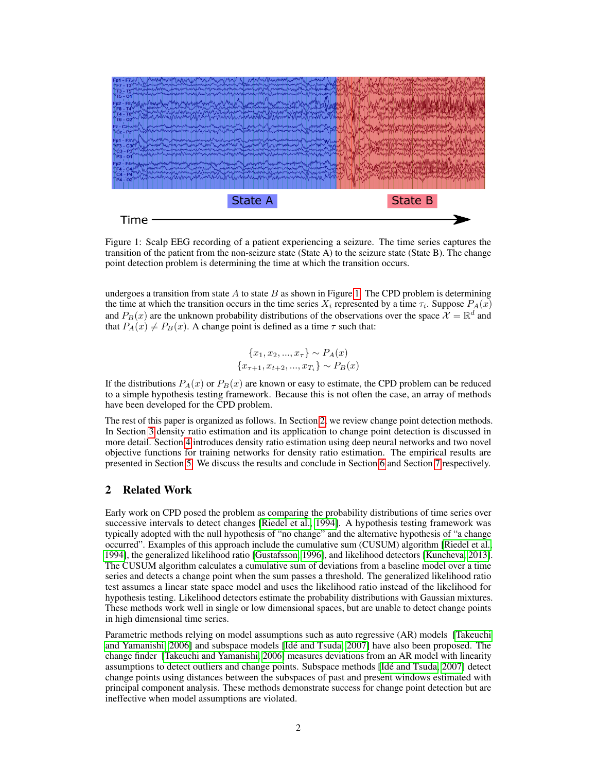<span id="page-1-0"></span>

Figure 1: Scalp EEG recording of a patient experiencing a seizure. The time series captures the transition of the patient from the non-seizure state (State A) to the seizure state (State B). The change point detection problem is determining the time at which the transition occurs.

undergoes a transition from state  $A$  to state  $B$  as shown in Figure [1.](#page-1-0) The CPD problem is determining the time at which the transition occurs in the time series  $X_i$  represented by a time  $\tau_i$ . Suppose  $P_A(x)$ and  $P_B(x)$  are the unknown probability distributions of the observations over the space  $\mathcal{X} = \mathbb{R}^d$  and that  $P_A(x) \neq P_B(x)$ . A change point is defined as a time  $\tau$  such that:

$$
\{x_1, x_2, ..., x_{\tau}\} \sim P_A(x)
$$

$$
\{x_{\tau+1}, x_{t+2}, ..., x_{T_i}\} \sim P_B(x)
$$

If the distributions  $P_A(x)$  or  $P_B(x)$  are known or easy to estimate, the CPD problem can be reduced to a simple hypothesis testing framework. Because this is not often the case, an array of methods have been developed for the CPD problem.

The rest of this paper is organized as follows. In Section [2,](#page-1-1) we review change point detection methods. In Section [3](#page-2-0) density ratio estimation and its application to change point detection is discussed in more detail. Section [4](#page-4-0) introduces density ratio estimation using deep neural networks and two novel objective functions for training networks for density ratio estimation. The empirical results are presented in Section [5.](#page-5-0) We discuss the results and conclude in Section [6](#page-7-0) and Section [7](#page-8-0) respectively.

## <span id="page-1-1"></span>2 Related Work

Early work on CPD posed the problem as comparing the probability distributions of time series over successive intervals to detect changes [\[Riedel et al., 1994\]](#page-9-3). A hypothesis testing framework was typically adopted with the null hypothesis of "no change" and the alternative hypothesis of "a change occurred". Examples of this approach include the cumulative sum (CUSUM) algorithm [\[Riedel et al.,](#page-9-3) [1994\]](#page-9-3), the generalized likelihood ratio [\[Gustafsson, 1996\]](#page-8-1), and likelihood detectors [\[Kuncheva, 2013\]](#page-9-4). The CUSUM algorithm calculates a cumulative sum of deviations from a baseline model over a time series and detects a change point when the sum passes a threshold. The generalized likelihood ratio test assumes a linear state space model and uses the likelihood ratio instead of the likelihood for hypothesis testing. Likelihood detectors estimate the probability distributions with Gaussian mixtures. These methods work well in single or low dimensional spaces, but are unable to detect change points in high dimensional time series.

Parametric methods relying on model assumptions such as auto regressive (AR) models [\[Takeuchi](#page-9-0) [and Yamanishi, 2006\]](#page-9-0) and subspace models [\[Idé and Tsuda, 2007\]](#page-8-2) have also been proposed. The change finder [\[Takeuchi and Yamanishi, 2006\]](#page-9-0) measures deviations from an AR model with linearity assumptions to detect outliers and change points. Subspace methods [\[Idé and Tsuda, 2007\]](#page-8-2) detect change points using distances between the subspaces of past and present windows estimated with principal component analysis. These methods demonstrate success for change point detection but are ineffective when model assumptions are violated.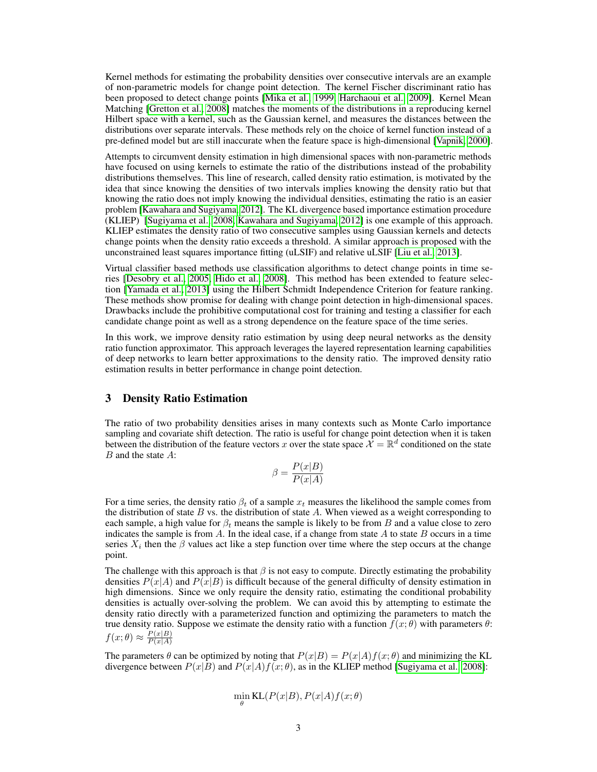Kernel methods for estimating the probability densities over consecutive intervals are an example of non-parametric models for change point detection. The kernel Fischer discriminant ratio has been proposed to detect change points [\[Mika et al., 1999,](#page-9-5) [Harchaoui et al., 2009\]](#page-8-3). Kernel Mean Matching [\[Gretton et al., 2008\]](#page-8-4) matches the moments of the distributions in a reproducing kernel Hilbert space with a kernel, such as the Gaussian kernel, and measures the distances between the distributions over separate intervals. These methods rely on the choice of kernel function instead of a pre-defined model but are still inaccurate when the feature space is high-dimensional [\[Vapnik, 2000\]](#page-9-6).

Attempts to circumvent density estimation in high dimensional spaces with non-parametric methods have focused on using kernels to estimate the ratio of the distributions instead of the probability distributions themselves. This line of research, called density ratio estimation, is motivated by the idea that since knowing the densities of two intervals implies knowing the density ratio but that knowing the ratio does not imply knowing the individual densities, estimating the ratio is an easier problem [\[Kawahara and Sugiyama, 2012\]](#page-8-5). The KL divergence based importance estimation procedure (KLIEP) [\[Sugiyama et al., 2008,](#page-9-7) [Kawahara and Sugiyama, 2012\]](#page-8-5) is one example of this approach. KLIEP estimates the density ratio of two consecutive samples using Gaussian kernels and detects change points when the density ratio exceeds a threshold. A similar approach is proposed with the unconstrained least squares importance fitting (uLSIF) and relative uLSIF [\[Liu et al., 2013\]](#page-9-8).

Virtual classifier based methods use classification algorithms to detect change points in time series [\[Desobry et al., 2005,](#page-8-6) [Hido et al., 2008\]](#page-8-7). This method has been extended to feature selection [\[Yamada et al., 2013\]](#page-9-9) using the Hilbert Schmidt Independence Criterion for feature ranking. These methods show promise for dealing with change point detection in high-dimensional spaces. Drawbacks include the prohibitive computational cost for training and testing a classifier for each candidate change point as well as a strong dependence on the feature space of the time series.

In this work, we improve density ratio estimation by using deep neural networks as the density ratio function approximator. This approach leverages the layered representation learning capabilities of deep networks to learn better approximations to the density ratio. The improved density ratio estimation results in better performance in change point detection.

## <span id="page-2-0"></span>3 Density Ratio Estimation

The ratio of two probability densities arises in many contexts such as Monte Carlo importance sampling and covariate shift detection. The ratio is useful for change point detection when it is taken between the distribution of the feature vectors x over the state space  $\mathcal{X} = \mathbb{R}^d$  conditioned on the state B and the state A:

$$
\beta = \frac{P(x|B)}{P(x|A)}
$$

For a time series, the density ratio  $\beta_t$  of a sample  $x_t$  measures the likelihood the sample comes from the distribution of state  $B$  vs. the distribution of state  $A$ . When viewed as a weight corresponding to each sample, a high value for  $\beta_t$  means the sample is likely to be from B and a value close to zero indicates the sample is from  $A$ . In the ideal case, if a change from state  $A$  to state  $B$  occurs in a time series  $X_i$  then the  $\beta$  values act like a step function over time where the step occurs at the change point.

The challenge with this approach is that  $\beta$  is not easy to compute. Directly estimating the probability densities  $P(x|A)$  and  $P(x|B)$  is difficult because of the general difficulty of density estimation in high dimensions. Since we only require the density ratio, estimating the conditional probability densities is actually over-solving the problem. We can avoid this by attempting to estimate the density ratio directly with a parameterized function and optimizing the parameters to match the true density ratio. Suppose we estimate the density ratio with a function  $f(x; \theta)$  with parameters  $\theta$ :  $f(x; \theta) \approx \frac{P(x|B)}{P(x|A)}$  $P(x|A)$ 

The parameters  $\theta$  can be optimized by noting that  $P(x|B) = P(x|A)f(x; \theta)$  and minimizing the KL divergence between  $P(x|B)$  and  $P(x|A)f(x; \theta)$ , as in the KLIEP method [\[Sugiyama et al., 2008\]](#page-9-7):

$$
\min_{\theta} \mathrm{KL}(P(x|B), P(x|A)f(x; \theta))
$$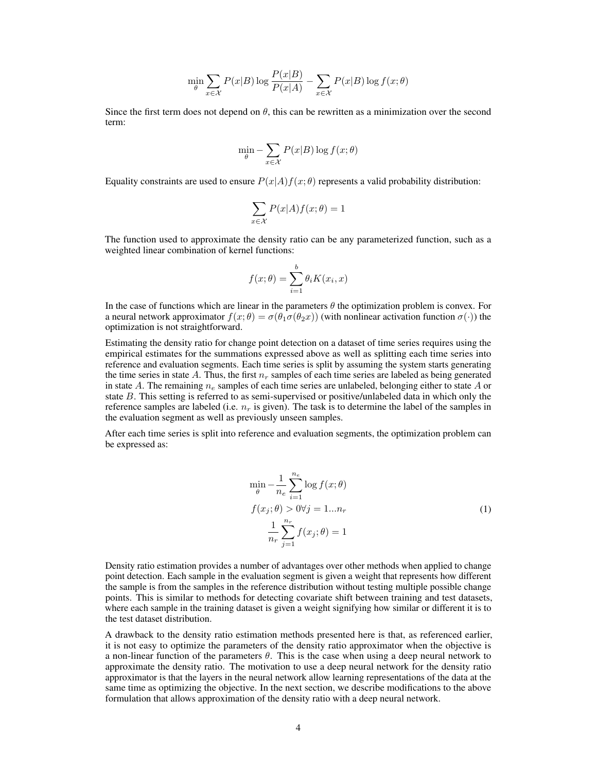$$
\min_{\theta} \sum_{x \in \mathcal{X}} P(x|B) \log \frac{P(x|B)}{P(x|A)} - \sum_{x \in \mathcal{X}} P(x|B) \log f(x; \theta)
$$

Since the first term does not depend on  $\theta$ , this can be rewritten as a minimization over the second term:

$$
\min_{\theta} - \sum_{x \in \mathcal{X}} P(x|B) \log f(x; \theta)
$$

Equality constraints are used to ensure  $P(x|A)f(x;\theta)$  represents a valid probability distribution:

$$
\sum_{x \in \mathcal{X}} P(x|A) f(x; \theta) = 1
$$

The function used to approximate the density ratio can be any parameterized function, such as a weighted linear combination of kernel functions:

$$
f(x; \theta) = \sum_{i=1}^{b} \theta_i K(x_i, x)
$$

In the case of functions which are linear in the parameters  $\theta$  the optimization problem is convex. For a neural network approximator  $f(x; \theta) = \sigma(\theta_1 \sigma(\theta_2 x))$  (with nonlinear activation function  $\sigma(\cdot)$ ) the optimization is not straightforward.

Estimating the density ratio for change point detection on a dataset of time series requires using the empirical estimates for the summations expressed above as well as splitting each time series into reference and evaluation segments. Each time series is split by assuming the system starts generating the time series in state A. Thus, the first  $n_r$  samples of each time series are labeled as being generated in state A. The remaining  $n_e$  samples of each time series are unlabeled, belonging either to state A or state B. This setting is referred to as semi-supervised or positive/unlabeled data in which only the reference samples are labeled (i.e.  $n_r$  is given). The task is to determine the label of the samples in the evaluation segment as well as previously unseen samples.

<span id="page-3-0"></span>After each time series is split into reference and evaluation segments, the optimization problem can be expressed as:

$$
\min_{\theta} -\frac{1}{n_e} \sum_{i=1}^{n_e} \log f(x; \theta)
$$
  

$$
f(x_j; \theta) > 0 \forall j = 1...n_r
$$
  

$$
\frac{1}{n_r} \sum_{j=1}^{n_r} f(x_j; \theta) = 1
$$
 (1)

Density ratio estimation provides a number of advantages over other methods when applied to change point detection. Each sample in the evaluation segment is given a weight that represents how different the sample is from the samples in the reference distribution without testing multiple possible change points. This is similar to methods for detecting covariate shift between training and test datasets, where each sample in the training dataset is given a weight signifying how similar or different it is to the test dataset distribution.

A drawback to the density ratio estimation methods presented here is that, as referenced earlier, it is not easy to optimize the parameters of the density ratio approximator when the objective is a non-linear function of the parameters  $\theta$ . This is the case when using a deep neural network to approximate the density ratio. The motivation to use a deep neural network for the density ratio approximator is that the layers in the neural network allow learning representations of the data at the same time as optimizing the objective. In the next section, we describe modifications to the above formulation that allows approximation of the density ratio with a deep neural network.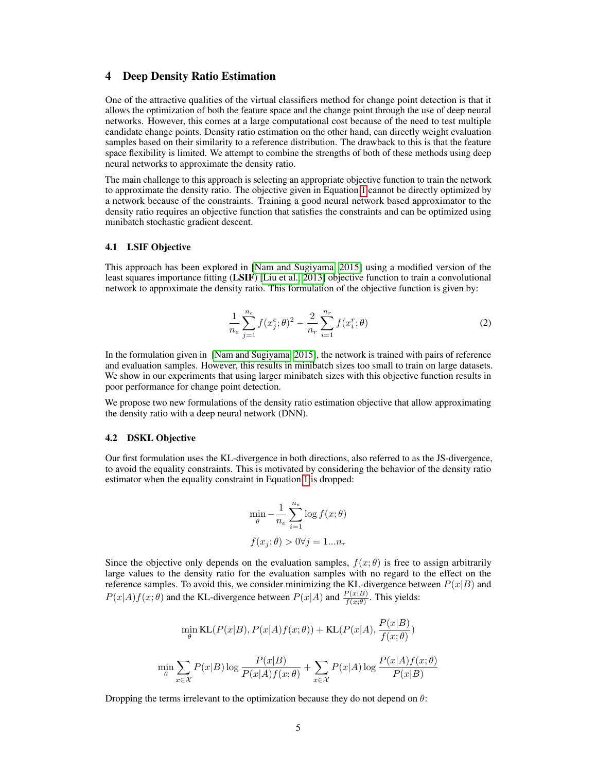## <span id="page-4-0"></span>4 Deep Density Ratio Estimation

One of the attractive qualities of the virtual classifiers method for change point detection is that it allows the optimization of both the feature space and the change point through the use of deep neural networks. However, this comes at a large computational cost because of the need to test multiple candidate change points. Density ratio estimation on the other hand, can directly weight evaluation samples based on their similarity to a reference distribution. The drawback to this is that the feature space flexibility is limited. We attempt to combine the strengths of both of these methods using deep neural networks to approximate the density ratio.

The main challenge to this approach is selecting an appropriate objective function to train the network to approximate the density ratio. The objective given in Equation [1](#page-3-0) cannot be directly optimized by a network because of the constraints. Training a good neural network based approximator to the density ratio requires an objective function that satisfies the constraints and can be optimized using minibatch stochastic gradient descent.

## 4.1 LSIF Objective

<span id="page-4-1"></span>This approach has been explored in [\[Nam and Sugiyama, 2015\]](#page-9-10) using a modified version of the least squares importance fitting (LSIF) [\[Liu et al., 2013\]](#page-9-8) objective function to train a convolutional network to approximate the density ratio. This formulation of the objective function is given by:

$$
\frac{1}{n_e} \sum_{j=1}^{n_e} f(x_j^e; \theta)^2 - \frac{2}{n_r} \sum_{i=1}^{n_r} f(x_i^r; \theta)
$$
\n(2)

In the formulation given in [\[Nam and Sugiyama, 2015\]](#page-9-10), the network is trained with pairs of reference and evaluation samples. However, this results in minibatch sizes too small to train on large datasets. We show in our experiments that using larger minibatch sizes with this objective function results in poor performance for change point detection.

We propose two new formulations of the density ratio estimation objective that allow approximating the density ratio with a deep neural network (DNN).

#### 4.2 DSKL Objective

Our first formulation uses the KL-divergence in both directions, also referred to as the JS-divergence, to avoid the equality constraints. This is motivated by considering the behavior of the density ratio estimator when the equality constraint in Equation [1](#page-3-0) is dropped:

$$
\min_{\theta} -\frac{1}{n_e} \sum_{i=1}^{n_e} \log f(x; \theta)
$$

$$
f(x_j; \theta) > 0 \forall j = 1...n_r
$$

Since the objective only depends on the evaluation samples,  $f(x; \theta)$  is free to assign arbitrarily large values to the density ratio for the evaluation samples with no regard to the effect on the reference samples. To avoid this, we consider minimizing the KL-divergence between  $P(x|B)$  and  $P(x|A) f(x; \theta)$  and the KL-divergence between  $P(x|A)$  and  $\frac{P(x|B)}{f(x; \theta)}$ . This yields:

$$
\min_{\theta} \text{KL}(P(x|B), P(x|A)f(x; \theta)) + \text{KL}(P(x|A), \frac{P(x|B)}{f(x; \theta)})
$$
\n
$$
\min_{\theta} \sum_{x \in \mathcal{X}} P(x|B) \log \frac{P(x|B)}{P(x|A)f(x; \theta)} + \sum_{x \in \mathcal{X}} P(x|A) \log \frac{P(x|A)f(x; \theta)}{P(x|B)}
$$

Dropping the terms irrelevant to the optimization because they do not depend on  $\theta$ :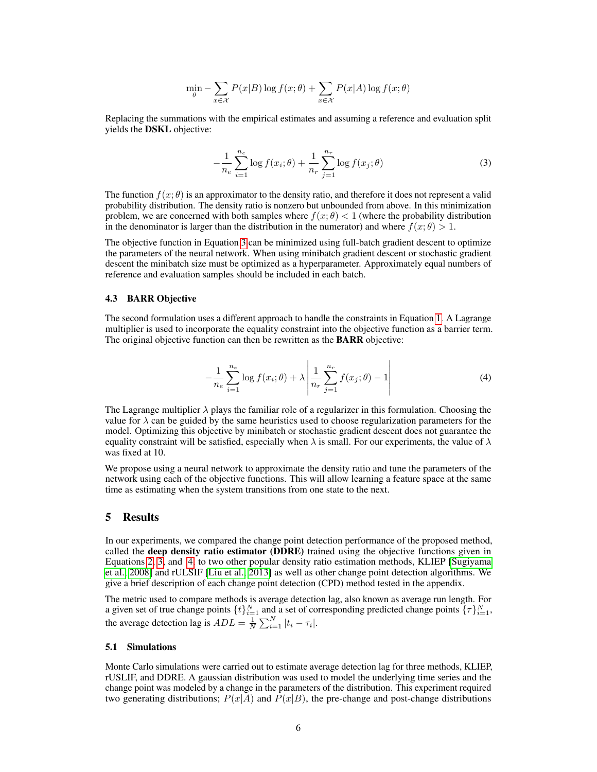$$
\min_{\theta} - \sum_{x \in \mathcal{X}} P(x|B) \log f(x; \theta) + \sum_{x \in \mathcal{X}} P(x|A) \log f(x; \theta)
$$

<span id="page-5-1"></span>Replacing the summations with the empirical estimates and assuming a reference and evaluation split yields the DSKL objective:

$$
-\frac{1}{n_e} \sum_{i=1}^{n_e} \log f(x_i; \theta) + \frac{1}{n_r} \sum_{j=1}^{n_r} \log f(x_j; \theta)
$$
 (3)

The function  $f(x; \theta)$  is an approximator to the density ratio, and therefore it does not represent a valid probability distribution. The density ratio is nonzero but unbounded from above. In this minimization problem, we are concerned with both samples where  $f(x; \theta) < 1$  (where the probability distribution in the denominator is larger than the distribution in the numerator) and where  $f(x; \theta) > 1$ .

The objective function in Equation [3](#page-5-1) can be minimized using full-batch gradient descent to optimize the parameters of the neural network. When using minibatch gradient descent or stochastic gradient descent the minibatch size must be optimized as a hyperparameter. Approximately equal numbers of reference and evaluation samples should be included in each batch.

#### 4.3 BARR Objective

<span id="page-5-2"></span>The second formulation uses a different approach to handle the constraints in Equation [1.](#page-3-0) A Lagrange multiplier is used to incorporate the equality constraint into the objective function as a barrier term. The original objective function can then be rewritten as the **BARR** objective:

$$
-\frac{1}{n_e} \sum_{i=1}^{n_e} \log f(x_i; \theta) + \lambda \left| \frac{1}{n_r} \sum_{j=1}^{n_r} f(x_j; \theta) - 1 \right| \tag{4}
$$

The Lagrange multiplier  $\lambda$  plays the familiar role of a regularizer in this formulation. Choosing the value for  $\lambda$  can be guided by the same heuristics used to choose regularization parameters for the model. Optimizing this objective by minibatch or stochastic gradient descent does not guarantee the equality constraint will be satisfied, especially when  $\lambda$  is small. For our experiments, the value of  $\lambda$ was fixed at 10.

We propose using a neural network to approximate the density ratio and tune the parameters of the network using each of the objective functions. This will allow learning a feature space at the same time as estimating when the system transitions from one state to the next.

## <span id="page-5-0"></span>5 Results

In our experiments, we compared the change point detection performance of the proposed method, called the deep density ratio estimator (DDRE) trained using the objective functions given in Equations [2,](#page-4-1) [3,](#page-5-1) and [4,](#page-5-2) to two other popular density ratio estimation methods, KLIEP [\[Sugiyama](#page-9-7) [et al., 2008\]](#page-9-7) and rULSIF [\[Liu et al., 2013\]](#page-9-8) as well as other change point detection algorithms. We give a brief description of each change point detection (CPD) method tested in the appendix.

The metric used to compare methods is average detection lag, also known as average run length. For a given set of true change points  $\{t\}_{i=1}^N$  and a set of corresponding predicted change points  $\{\tau\}_{i=1}^N$ , the average detection lag is  $ADL = \frac{1}{N} \sum_{i=1}^{N} |t_i - \tau_i|$ .

#### 5.1 Simulations

Monte Carlo simulations were carried out to estimate average detection lag for three methods, KLIEP, rUSLIF, and DDRE. A gaussian distribution was used to model the underlying time series and the change point was modeled by a change in the parameters of the distribution. This experiment required two generating distributions;  $P(x|\overline{A})$  and  $\overline{P}(x|B)$ , the pre-change and post-change distributions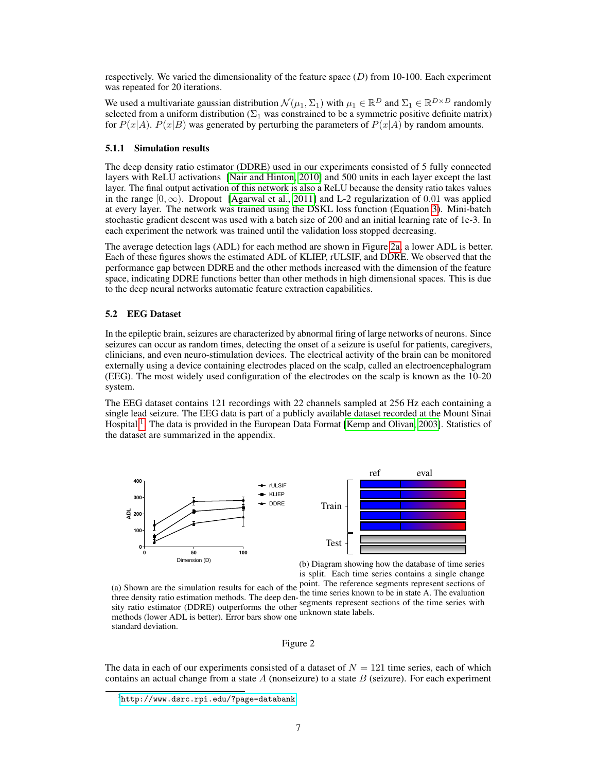respectively. We varied the dimensionality of the feature space  $(D)$  from 10-100. Each experiment was repeated for 20 iterations.

We used a multivariate gaussian distribution  $\mathcal{N}(\mu_1, \Sigma_1)$  with  $\mu_1 \in \mathbb{R}^D$  and  $\Sigma_1 \in \mathbb{R}^{D \times D}$  randomly selected from a uniform distribution ( $\Sigma_1$  was constrained to be a symmetric positive definite matrix) for  $P(x|A)$ .  $P(x|B)$  was generated by perturbing the parameters of  $P(x|A)$  by random amounts.

#### 5.1.1 Simulation results

The deep density ratio estimator (DDRE) used in our experiments consisted of 5 fully connected layers with ReLU activations [\[Nair and Hinton, 2010\]](#page-9-11) and 500 units in each layer except the last layer. The final output activation of this network is also a ReLU because the density ratio takes values in the range  $[0, \infty)$ . Dropout [\[Agarwal et al., 2011\]](#page-8-8) and L-2 regularization of 0.01 was applied at every layer. The network was trained using the DSKL loss function (Equation [3\)](#page-5-1). Mini-batch stochastic gradient descent was used with a batch size of 200 and an initial learning rate of 1e-3. In each experiment the network was trained until the validation loss stopped decreasing.

The average detection lags (ADL) for each method are shown in Figure [2a,](#page-6-0) a lower ADL is better. Each of these figures shows the estimated ADL of KLIEP, rULSIF, and DDRE. We observed that the performance gap between DDRE and the other methods increased with the dimension of the feature space, indicating DDRE functions better than other methods in high dimensional spaces. This is due to the deep neural networks automatic feature extraction capabilities.

## 5.2 EEG Dataset

In the epileptic brain, seizures are characterized by abnormal firing of large networks of neurons. Since seizures can occur as random times, detecting the onset of a seizure is useful for patients, caregivers, clinicians, and even neuro-stimulation devices. The electrical activity of the brain can be monitored externally using a device containing electrodes placed on the scalp, called an electroencephalogram (EEG). The most widely used configuration of the electrodes on the scalp is known as the 10-20 system.

The EEG dataset contains 121 recordings with 22 channels sampled at 256 Hz each containing a single lead seizure. The EEG data is part of a publicly available dataset recorded at the Mount Sinai Hospital<sup>[1](#page-6-1)</sup>. The data is provided in the European Data Format [\[Kemp and Olivan, 2003\]](#page-8-9). Statistics of the dataset are summarized in the appendix.

<span id="page-6-0"></span>

(b) Diagram showing how the database of time series is split. Each time series contains a single change

(a) Shown are the simulation results for each of the point. The reference segments represent sections of  $\alpha$ . three density ratio estimation methods. The deep density ratio estimator (DDRE) outperforms the other methods (lower ADL is better). Error bars show one standard deviation. the time series known to be in state A. The evaluation segments represent sections of the time series with unknown state labels.

#### Figure 2

The data in each of our experiments consisted of a dataset of  $N = 121$  time series, each of which contains an actual change from a state  $A$  (nonseizure) to a state  $B$  (seizure). For each experiment

<span id="page-6-1"></span><sup>1</sup> <http://www.dsrc.rpi.edu/?page=databank>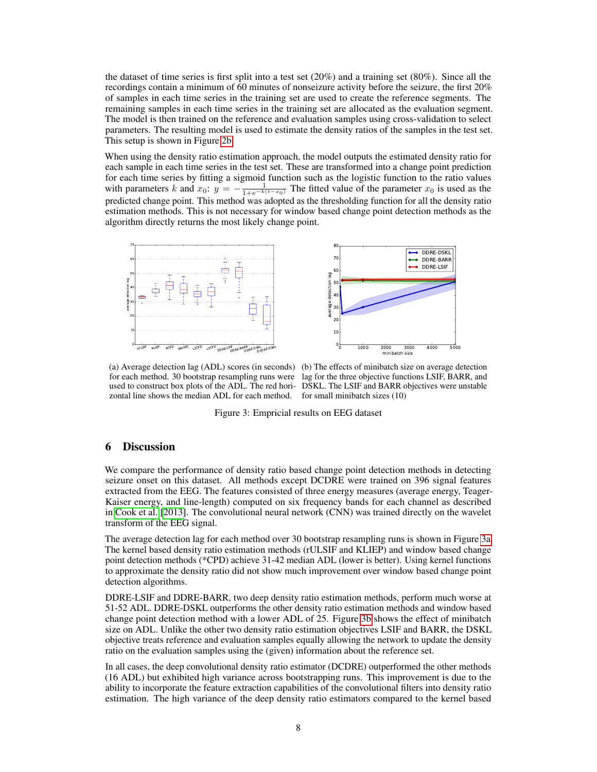the dataset of time series is first split into a test set  $(20\%)$  and a training set  $(80\%)$ . Since all the recordings contain a minimum of 60 minutes of nonseizure activity before the seizure, the first 20% of samples in each time series in the training set are used to create the reference segments. The remaining samples in each time series in the training set are allocated as the evaluation segment. The model is then trained on the reference and evaluation samples using cross-validation to select parameters. The resulting model is used to estimate the density ratios of the samples in the test set. This setup is shown in Figure [2b.](#page-6-0)

When using the density ratio estimation approach, the model outputs the estimated density ratio for each sample in each time series in the test set. These are transformed into a change point prediction for each time series by fitting a sigmoid function such as the logistic function to the ratio values with parameters k and  $x_0$ :  $y = -\frac{1}{1+e^{-k(t-x_0)}}$  The fitted value of the parameter  $x_0$  is used as the predicted change point. This method was adopted as the thresholding function for all the density ratio estimation methods. This is not necessary for window based change point detection methods as the algorithm directly returns the most likely change point.

<span id="page-7-1"></span>



for each method. 30 bootstrap resampling runs were lag for the three objective functions LSIF, BARR, and used to construct box plots of the ADL. The red hori-DSKL. The LSIF and BARR objectives were unstable zontal line shows the median ADL for each method.

(a) Average detection lag (ADL) scores (in seconds) (b) The effects of minibatch size on average detection for small minibatch sizes (10)

Figure 3: Empricial results on EEG dataset

# <span id="page-7-0"></span>6 Discussion

We compare the performance of density ratio based change point detection methods in detecting seizure onset on this dataset. All methods except DCDRE were trained on 396 signal features extracted from the EEG. The features consisted of three energy measures (average energy, Teager-Kaiser energy, and line-length) computed on six frequency bands for each channel as described in [Cook et al.](#page-8-10) [\[2013\]](#page-8-10). The convolutional neural network (CNN) was trained directly on the wavelet transform of the EEG signal.

The average detection lag for each method over 30 bootstrap resampling runs is shown in Figure [3a.](#page-7-1) The kernel based density ratio estimation methods (rULSIF and KLIEP) and window based change point detection methods (\*CPD) achieve 31-42 median ADL (lower is better). Using kernel functions to approximate the density ratio did not show much improvement over window based change point detection algorithms.

DDRE-LSIF and DDRE-BARR, two deep density ratio estimation methods, perform much worse at 51-52 ADL. DDRE-DSKL outperforms the other density ratio estimation methods and window based change point detection method with a lower ADL of 25. Figure [3b](#page-7-1) shows the effect of minibatch size on ADL. Unlike the other two density ratio estimation objectives LSIF and BARR, the DSKL objective treats reference and evaluation samples equally allowing the network to update the density ratio on the evaluation samples using the (given) information about the reference set.

In all cases, the deep convolutional density ratio estimator (DCDRE) outperformed the other methods (16 ADL) but exhibited high variance across bootstrapping runs. This improvement is due to the ability to incorporate the feature extraction capabilities of the convolutional filters into density ratio estimation. The high variance of the deep density ratio estimators compared to the kernel based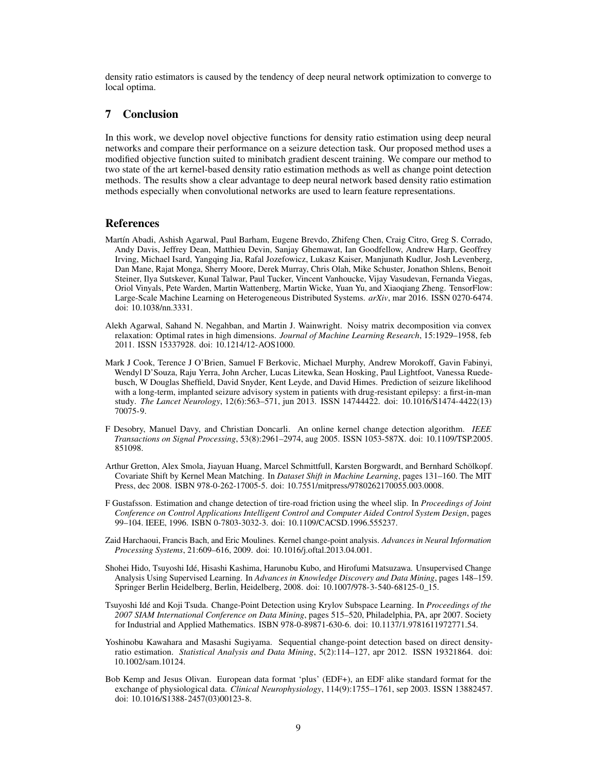density ratio estimators is caused by the tendency of deep neural network optimization to converge to local optima.

# <span id="page-8-0"></span>7 Conclusion

In this work, we develop novel objective functions for density ratio estimation using deep neural networks and compare their performance on a seizure detection task. Our proposed method uses a modified objective function suited to minibatch gradient descent training. We compare our method to two state of the art kernel-based density ratio estimation methods as well as change point detection methods. The results show a clear advantage to deep neural network based density ratio estimation methods especially when convolutional networks are used to learn feature representations.

## References

- <span id="page-8-11"></span>Martín Abadi, Ashish Agarwal, Paul Barham, Eugene Brevdo, Zhifeng Chen, Craig Citro, Greg S. Corrado, Andy Davis, Jeffrey Dean, Matthieu Devin, Sanjay Ghemawat, Ian Goodfellow, Andrew Harp, Geoffrey Irving, Michael Isard, Yangqing Jia, Rafal Jozefowicz, Lukasz Kaiser, Manjunath Kudlur, Josh Levenberg, Dan Mane, Rajat Monga, Sherry Moore, Derek Murray, Chris Olah, Mike Schuster, Jonathon Shlens, Benoit Steiner, Ilya Sutskever, Kunal Talwar, Paul Tucker, Vincent Vanhoucke, Vijay Vasudevan, Fernanda Viegas, Oriol Vinyals, Pete Warden, Martin Wattenberg, Martin Wicke, Yuan Yu, and Xiaoqiang Zheng. TensorFlow: Large-Scale Machine Learning on Heterogeneous Distributed Systems. *arXiv*, mar 2016. ISSN 0270-6474. doi: 10.1038/nn.3331.
- <span id="page-8-8"></span>Alekh Agarwal, Sahand N. Negahban, and Martin J. Wainwright. Noisy matrix decomposition via convex relaxation: Optimal rates in high dimensions. *Journal of Machine Learning Research*, 15:1929–1958, feb 2011. ISSN 15337928. doi: 10.1214/12-AOS1000.
- <span id="page-8-10"></span>Mark J Cook, Terence J O'Brien, Samuel F Berkovic, Michael Murphy, Andrew Morokoff, Gavin Fabinyi, Wendyl D'Souza, Raju Yerra, John Archer, Lucas Litewka, Sean Hosking, Paul Lightfoot, Vanessa Ruedebusch, W Douglas Sheffield, David Snyder, Kent Leyde, and David Himes. Prediction of seizure likelihood with a long-term, implanted seizure advisory system in patients with drug-resistant epilepsy: a first-in-man study. *The Lancet Neurology*, 12(6):563–571, jun 2013. ISSN 14744422. doi: 10.1016/S1474-4422(13) 70075-9.
- <span id="page-8-6"></span>F Desobry, Manuel Davy, and Christian Doncarli. An online kernel change detection algorithm. *IEEE Transactions on Signal Processing*, 53(8):2961–2974, aug 2005. ISSN 1053-587X. doi: 10.1109/TSP.2005. 851098.
- <span id="page-8-4"></span>Arthur Gretton, Alex Smola, Jiayuan Huang, Marcel Schmittfull, Karsten Borgwardt, and Bernhard Schölkopf. Covariate Shift by Kernel Mean Matching. In *Dataset Shift in Machine Learning*, pages 131–160. The MIT Press, dec 2008. ISBN 978-0-262-17005-5. doi: 10.7551/mitpress/9780262170055.003.0008.
- <span id="page-8-1"></span>F Gustafsson. Estimation and change detection of tire-road friction using the wheel slip. In *Proceedings of Joint Conference on Control Applications Intelligent Control and Computer Aided Control System Design*, pages 99–104. IEEE, 1996. ISBN 0-7803-3032-3. doi: 10.1109/CACSD.1996.555237.
- <span id="page-8-3"></span>Zaid Harchaoui, Francis Bach, and Eric Moulines. Kernel change-point analysis. *Advances in Neural Information Processing Systems*, 21:609–616, 2009. doi: 10.1016/j.oftal.2013.04.001.
- <span id="page-8-7"></span>Shohei Hido, Tsuyoshi Idé, Hisashi Kashima, Harunobu Kubo, and Hirofumi Matsuzawa. Unsupervised Change Analysis Using Supervised Learning. In *Advances in Knowledge Discovery and Data Mining*, pages 148–159. Springer Berlin Heidelberg, Berlin, Heidelberg, 2008. doi: 10.1007/978-3-540-68125-0\_15.
- <span id="page-8-2"></span>Tsuyoshi Idé and Koji Tsuda. Change-Point Detection using Krylov Subspace Learning. In *Proceedings of the 2007 SIAM International Conference on Data Mining*, pages 515–520, Philadelphia, PA, apr 2007. Society for Industrial and Applied Mathematics. ISBN 978-0-89871-630-6. doi: 10.1137/1.9781611972771.54.
- <span id="page-8-5"></span>Yoshinobu Kawahara and Masashi Sugiyama. Sequential change-point detection based on direct densityratio estimation. *Statistical Analysis and Data Mining*, 5(2):114–127, apr 2012. ISSN 19321864. doi: 10.1002/sam.10124.
- <span id="page-8-9"></span>Bob Kemp and Jesus Olivan. European data format 'plus' (EDF+), an EDF alike standard format for the exchange of physiological data. *Clinical Neurophysiology*, 114(9):1755–1761, sep 2003. ISSN 13882457. doi: 10.1016/S1388-2457(03)00123-8.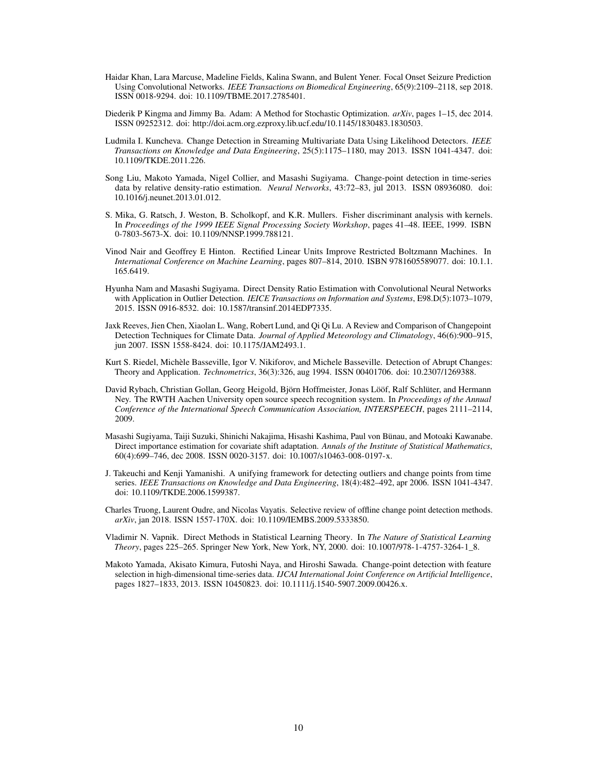- <span id="page-9-13"></span>Haidar Khan, Lara Marcuse, Madeline Fields, Kalina Swann, and Bulent Yener. Focal Onset Seizure Prediction Using Convolutional Networks. *IEEE Transactions on Biomedical Engineering*, 65(9):2109–2118, sep 2018. ISSN 0018-9294. doi: 10.1109/TBME.2017.2785401.
- <span id="page-9-12"></span>Diederik P Kingma and Jimmy Ba. Adam: A Method for Stochastic Optimization. *arXiv*, pages 1–15, dec 2014. ISSN 09252312. doi: http://doi.acm.org.ezproxy.lib.ucf.edu/10.1145/1830483.1830503.
- <span id="page-9-4"></span>Ludmila I. Kuncheva. Change Detection in Streaming Multivariate Data Using Likelihood Detectors. *IEEE Transactions on Knowledge and Data Engineering*, 25(5):1175–1180, may 2013. ISSN 1041-4347. doi: 10.1109/TKDE.2011.226.
- <span id="page-9-8"></span>Song Liu, Makoto Yamada, Nigel Collier, and Masashi Sugiyama. Change-point detection in time-series data by relative density-ratio estimation. *Neural Networks*, 43:72–83, jul 2013. ISSN 08936080. doi: 10.1016/j.neunet.2013.01.012.
- <span id="page-9-5"></span>S. Mika, G. Ratsch, J. Weston, B. Scholkopf, and K.R. Mullers. Fisher discriminant analysis with kernels. In *Proceedings of the 1999 IEEE Signal Processing Society Workshop*, pages 41–48. IEEE, 1999. ISBN 0-7803-5673-X. doi: 10.1109/NNSP.1999.788121.
- <span id="page-9-11"></span>Vinod Nair and Geoffrey E Hinton. Rectified Linear Units Improve Restricted Boltzmann Machines. In *International Conference on Machine Learning*, pages 807–814, 2010. ISBN 9781605589077. doi: 10.1.1. 165.6419.
- <span id="page-9-10"></span>Hyunha Nam and Masashi Sugiyama. Direct Density Ratio Estimation with Convolutional Neural Networks with Application in Outlier Detection. *IEICE Transactions on Information and Systems*, E98.D(5):1073–1079, 2015. ISSN 0916-8532. doi: 10.1587/transinf.2014EDP7335.
- <span id="page-9-1"></span>Jaxk Reeves, Jien Chen, Xiaolan L. Wang, Robert Lund, and Qi Qi Lu. A Review and Comparison of Changepoint Detection Techniques for Climate Data. *Journal of Applied Meteorology and Climatology*, 46(6):900–915, jun 2007. ISSN 1558-8424. doi: 10.1175/JAM2493.1.
- <span id="page-9-3"></span>Kurt S. Riedel, Michèle Basseville, Igor V. Nikiforov, and Michele Basseville. Detection of Abrupt Changes: Theory and Application. *Technometrics*, 36(3):326, aug 1994. ISSN 00401706. doi: 10.2307/1269388.
- <span id="page-9-2"></span>David Rybach, Christian Gollan, Georg Heigold, Björn Hoffmeister, Jonas Lööf, Ralf Schlüter, and Hermann Ney. The RWTH Aachen University open source speech recognition system. In *Proceedings of the Annual Conference of the International Speech Communication Association, INTERSPEECH*, pages 2111–2114, 2009.
- <span id="page-9-7"></span>Masashi Sugiyama, Taiji Suzuki, Shinichi Nakajima, Hisashi Kashima, Paul von Bünau, and Motoaki Kawanabe. Direct importance estimation for covariate shift adaptation. *Annals of the Institute of Statistical Mathematics*, 60(4):699–746, dec 2008. ISSN 0020-3157. doi: 10.1007/s10463-008-0197-x.
- <span id="page-9-0"></span>J. Takeuchi and Kenji Yamanishi. A unifying framework for detecting outliers and change points from time series. *IEEE Transactions on Knowledge and Data Engineering*, 18(4):482–492, apr 2006. ISSN 1041-4347. doi: 10.1109/TKDE.2006.1599387.
- <span id="page-9-14"></span>Charles Truong, Laurent Oudre, and Nicolas Vayatis. Selective review of offline change point detection methods. *arXiv*, jan 2018. ISSN 1557-170X. doi: 10.1109/IEMBS.2009.5333850.
- <span id="page-9-6"></span>Vladimir N. Vapnik. Direct Methods in Statistical Learning Theory. In *The Nature of Statistical Learning Theory*, pages 225–265. Springer New York, New York, NY, 2000. doi: 10.1007/978-1-4757-3264-1\_8.
- <span id="page-9-9"></span>Makoto Yamada, Akisato Kimura, Futoshi Naya, and Hiroshi Sawada. Change-point detection with feature selection in high-dimensional time-series data. *IJCAI International Joint Conference on Artificial Intelligence*, pages 1827–1833, 2013. ISSN 10450823. doi: 10.1111/j.1540-5907.2009.00426.x.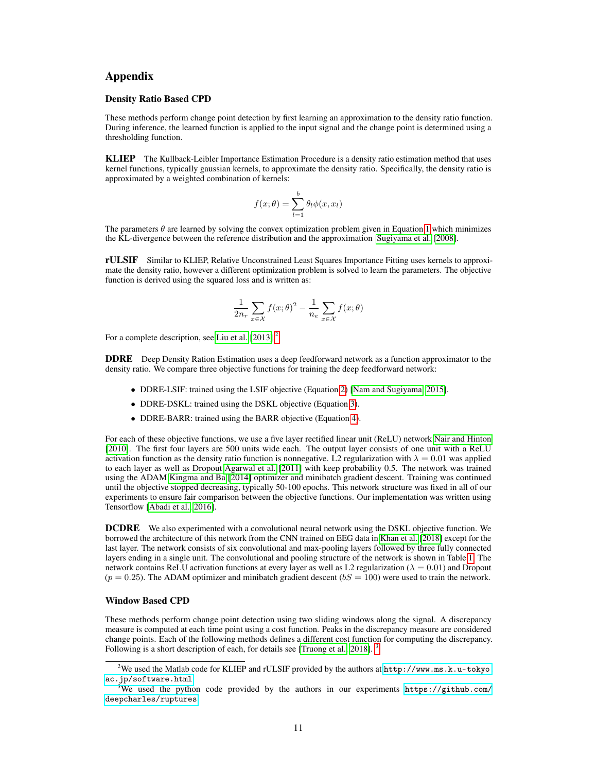# Appendix

#### Density Ratio Based CPD

These methods perform change point detection by first learning an approximation to the density ratio function. During inference, the learned function is applied to the input signal and the change point is determined using a thresholding function.

KLIEP The Kullback-Leibler Importance Estimation Procedure is a density ratio estimation method that uses kernel functions, typically gaussian kernels, to approximate the density ratio. Specifically, the density ratio is approximated by a weighted combination of kernels:

$$
f(x; \theta) = \sum_{l=1}^{b} \theta_l \phi(x, x_l)
$$

The parameters  $\theta$  are learned by solving the convex optimization problem given in Equation [1](#page-3-0) which minimizes the KL-divergence between the reference distribution and the approximation [Sugiyama et al.](#page-9-7) [\[2008\]](#page-9-7).

rULSIF Similar to KLIEP, Relative Unconstrained Least Squares Importance Fitting uses kernels to approximate the density ratio, however a different optimization problem is solved to learn the parameters. The objective function is derived using the squared loss and is written as:

$$
\frac{1}{2n_r} \sum_{x \in \mathcal{X}} f(x; \theta)^2 - \frac{1}{n_e} \sum_{x \in \mathcal{X}} f(x; \theta)
$$

For a complete description, see [Liu et al.](#page-9-8) [\[2013\]](#page-9-8).<sup>[2](#page-10-0)</sup>

DDRE Deep Density Ration Estimation uses a deep feedforward network as a function approximator to the density ratio. We compare three objective functions for training the deep feedforward network:

- DDRE-LSIF: trained using the LSIF objective (Equation [2\)](#page-4-1) [\[Nam and Sugiyama, 2015\]](#page-9-10).
- DDRE-DSKL: trained using the DSKL objective (Equation [3\)](#page-5-1).
- DDRE-BARR: trained using the BARR objective (Equation [4\)](#page-5-2).

For each of these objective functions, we use a five layer rectified linear unit (ReLU) network [Nair and Hinton](#page-9-11) [\[2010\]](#page-9-11). The first four layers are 500 units wide each. The output layer consists of one unit with a ReLU activation function as the density ratio function is nonnegative. L2 regularization with  $\lambda = 0.01$  was applied to each layer as well as Dropout [Agarwal et al.](#page-8-8) [\[2011\]](#page-8-8) with keep probability 0.5. The network was trained using the ADAM [Kingma and Ba](#page-9-12) [\[2014\]](#page-9-12) optimizer and minibatch gradient descent. Training was continued until the objective stopped decreasing, typically 50-100 epochs. This network structure was fixed in all of our experiments to ensure fair comparison between the objective functions. Our implementation was written using Tensorflow [\[Abadi et al., 2016\]](#page-8-11).

DCDRE We also experimented with a convolutional neural network using the DSKL objective function. We borrowed the architecture of this network from the CNN trained on EEG data in [Khan et al.](#page-9-13) [\[2018\]](#page-9-13) except for the last layer. The network consists of six convolutional and max-pooling layers followed by three fully connected layers ending in a single unit. The convolutional and pooling structure of the network is shown in Table [1.](#page-11-0) The network contains ReLU activation functions at every layer as well as L2 regularization ( $\lambda = 0.01$ ) and Dropout  $(p = 0.25)$ . The ADAM optimizer and minibatch gradient descent  $(bS = 100)$  were used to train the network.

## Window Based CPD

These methods perform change point detection using two sliding windows along the signal. A discrepancy measure is computed at each time point using a cost function. Peaks in the discrepancy measure are considered change points. Each of the following methods defines a different cost function for computing the discrepancy. Following is a short description of each, for details see [\[Truong et al., 2018\]](#page-9-14).

<span id="page-10-0"></span><sup>&</sup>lt;sup>2</sup>We used the Matlab code for KLIEP and rULSIF provided by the authors at  $http://www.ms.k.u-tokyo$ . [ac.jp/software.html](http://www.ms.k.u-tokyo.ac.jp/software.html)

<span id="page-10-1"></span><sup>&</sup>lt;sup>3</sup>We used the python code provided by the authors in our experiments [https://github.com/](https://github.com/deepcharles/ruptures) [deepcharles/ruptures](https://github.com/deepcharles/ruptures)